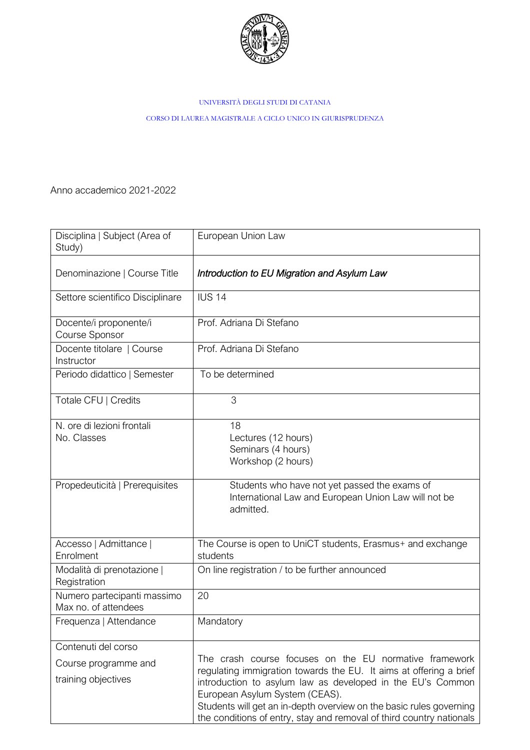

## UNIVERSITÀ DEGLI STUDI DI CATANIA

CORSO DI LAUREA MAGISTRALE A CICLO UNICO IN GIURISPRUDENZA

Anno accademico 2021-2022

| Disciplina   Subject (Area of<br>Study)                            | European Union Law                                                                                                                                                                                                                                                                                                                                                          |
|--------------------------------------------------------------------|-----------------------------------------------------------------------------------------------------------------------------------------------------------------------------------------------------------------------------------------------------------------------------------------------------------------------------------------------------------------------------|
| Denominazione   Course Title                                       | Introduction to EU Migration and Asylum Law                                                                                                                                                                                                                                                                                                                                 |
| Settore scientifico Disciplinare                                   | <b>IUS 14</b>                                                                                                                                                                                                                                                                                                                                                               |
| Docente/i proponente/i<br>Course Sponsor                           | Prof. Adriana Di Stefano                                                                                                                                                                                                                                                                                                                                                    |
| Docente titolare   Course<br>Instructor                            | Prof. Adriana Di Stefano                                                                                                                                                                                                                                                                                                                                                    |
| Periodo didattico   Semester                                       | To be determined                                                                                                                                                                                                                                                                                                                                                            |
| Totale CFU   Credits                                               | 3                                                                                                                                                                                                                                                                                                                                                                           |
| N. ore di lezioni frontali<br>No. Classes                          | 18<br>Lectures (12 hours)<br>Seminars (4 hours)<br>Workshop (2 hours)                                                                                                                                                                                                                                                                                                       |
| Propedeuticità   Prerequisites                                     | Students who have not yet passed the exams of<br>International Law and European Union Law will not be<br>admitted.                                                                                                                                                                                                                                                          |
| Accesso   Admittance  <br>Enrolment                                | The Course is open to UniCT students, Erasmus+ and exchange<br>students                                                                                                                                                                                                                                                                                                     |
| Modalità di prenotazione  <br>Registration                         | On line registration / to be further announced                                                                                                                                                                                                                                                                                                                              |
| Numero partecipanti massimo<br>Max no. of attendees                | 20                                                                                                                                                                                                                                                                                                                                                                          |
| Frequenza   Attendance                                             | Mandatory                                                                                                                                                                                                                                                                                                                                                                   |
| Contenuti del corso<br>Course programme and<br>training objectives | The crash course focuses on the EU normative framework<br>regulating immigration towards the EU. It aims at offering a brief<br>introduction to asylum law as developed in the EU's Common<br>European Asylum System (CEAS).<br>Students will get an in-depth overview on the basic rules governing<br>the conditions of entry, stay and removal of third country nationals |